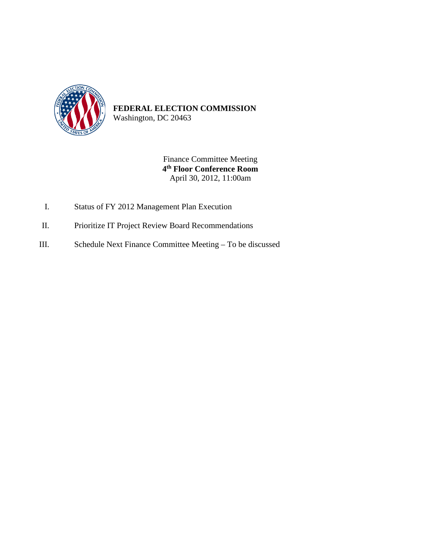

Finance Committee Meeting **4th Floor Conference Room** April 30, 2012, 11:00am

- I. Status of FY 2012 Management Plan Execution
- II. Prioritize IT Project Review Board Recommendations
- III. Schedule Next Finance Committee Meeting To be discussed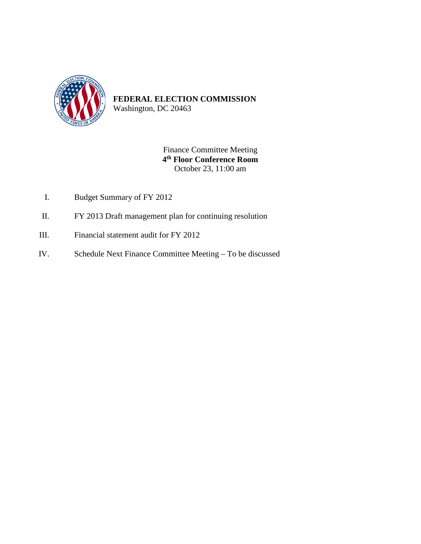

Washington, DC 20463

Finance Committee Meeting **4th Floor Conference Room** October 23, 11:00 am

- I. Budget Summary of FY 2012
- II. FY 2013 Draft management plan for continuing resolution
- III. Financial statement audit for FY 2012
- IV. Schedule Next Finance Committee Meeting To be discussed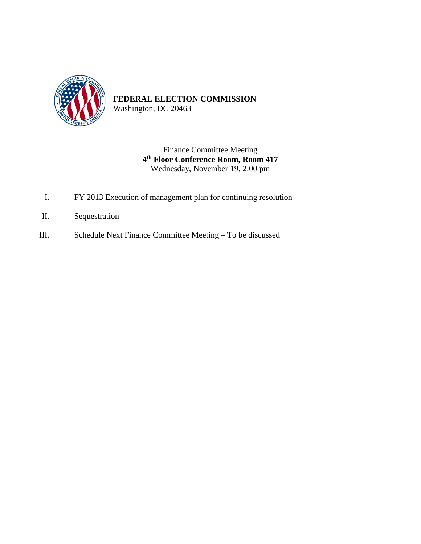

Washington, DC 20463

Finance Committee Meeting **4th Floor Conference Room, Room 417** Wednesday, November 19, 2:00 pm

- I. FY 2013 Execution of management plan for continuing resolution
- II. Sequestration
- III. Schedule Next Finance Committee Meeting To be discussed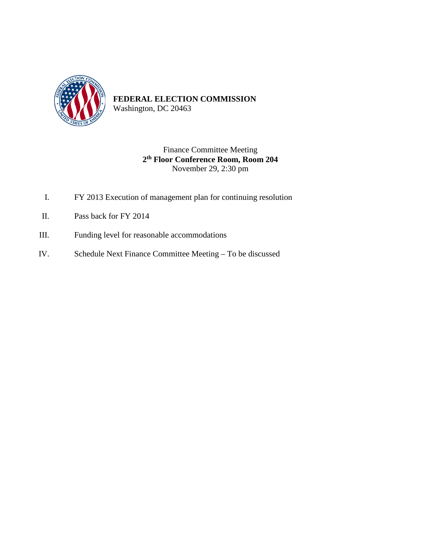

Washington, DC 20463

#### Finance Committee Meeting **2th Floor Conference Room, Room 204** November 29, 2:30 pm

- I. FY 2013 Execution of management plan for continuing resolution
- II. Pass back for FY 2014
- III. Funding level for reasonable accommodations
- IV. Schedule Next Finance Committee Meeting To be discussed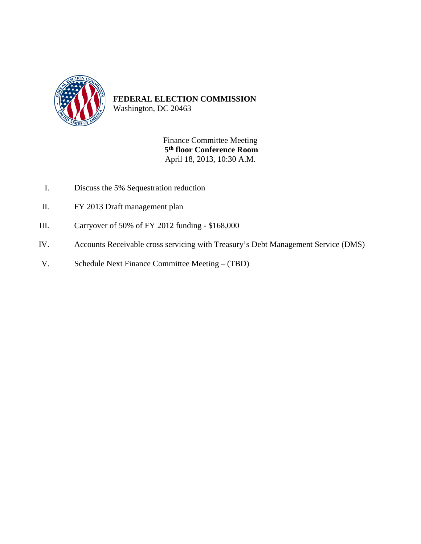

Washington, DC 20463

Finance Committee Meeting **5th floor Conference Room** April 18, 2013, 10:30 A.M.

- I. Discuss the 5% Sequestration reduction
- II. FY 2013 Draft management plan
- III. Carryover of 50% of FY 2012 funding \$168,000
- IV. Accounts Receivable cross servicing with Treasury's Debt Management Service (DMS)
- V. Schedule Next Finance Committee Meeting (TBD)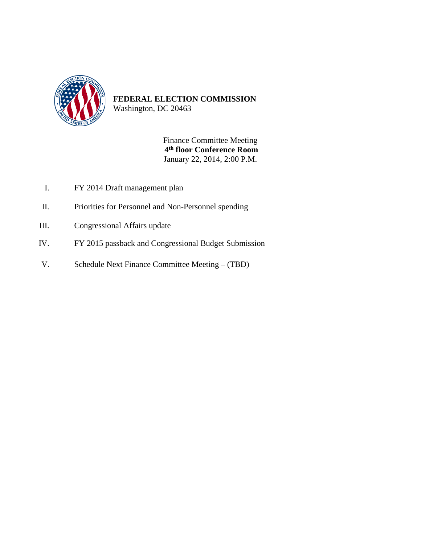

Washington, DC 20463

Finance Committee Meeting **4th floor Conference Room** January 22, 2014, 2:00 P.M.

- I. FY 2014 Draft management plan
- II. Priorities for Personnel and Non-Personnel spending
- III. Congressional Affairs update
- IV. FY 2015 passback and Congressional Budget Submission
- V. Schedule Next Finance Committee Meeting (TBD)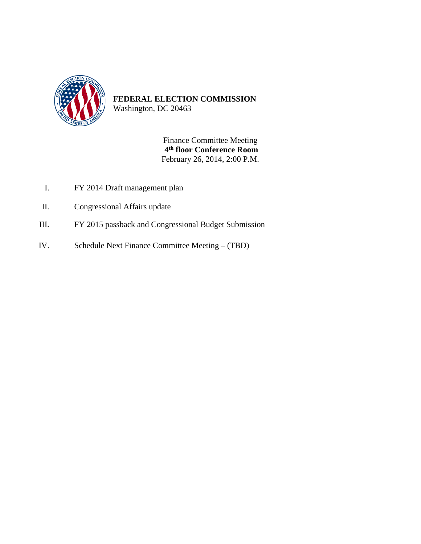

Washington, DC 20463

Finance Committee Meeting **4th floor Conference Room** February 26, 2014, 2:00 P.M.

- I. FY 2014 Draft management plan
- II. Congressional Affairs update
- III. FY 2015 passback and Congressional Budget Submission
- IV. Schedule Next Finance Committee Meeting (TBD)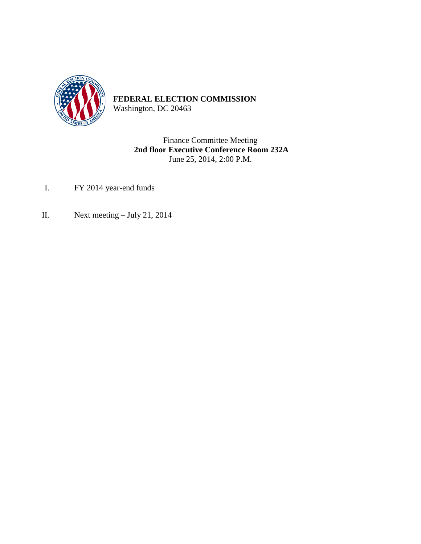

Washington, DC 20463

Finance Committee Meeting **2nd floor Executive Conference Room 232A** June 25, 2014, 2:00 P.M.

- I. FY 2014 year-end funds
- II. Next meeting July 21, 2014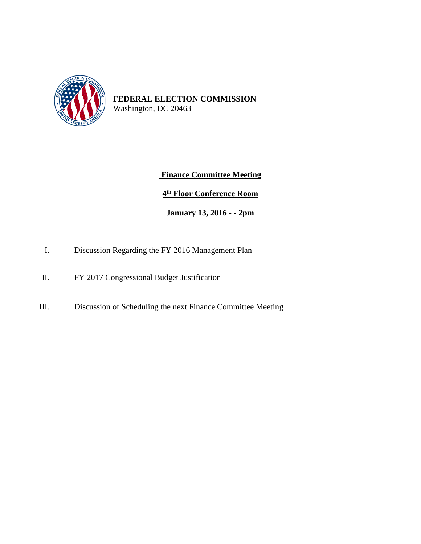

#### **Finance Committee Meeting**

#### **4th Floor Conference Room**

#### **January 13, 2016 - - 2pm**

- I. Discussion Regarding the FY 2016 Management Plan
- II. FY 2017 Congressional Budget Justification
- III. Discussion of Scheduling the next Finance Committee Meeting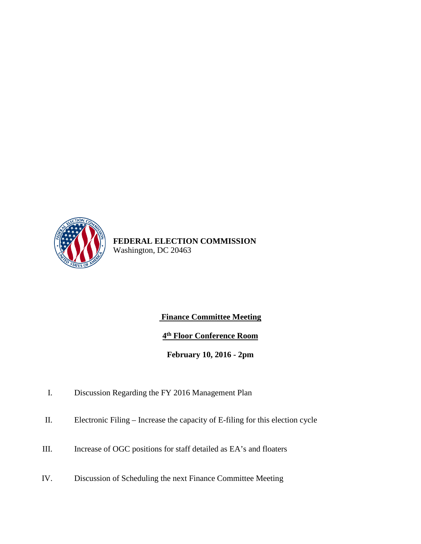

#### **Finance Committee Meeting**

**4th Floor Conference Room**

**February 10, 2016 - 2pm**

- I. Discussion Regarding the FY 2016 Management Plan
- II. Electronic Filing Increase the capacity of E-filing for this election cycle
- III. Increase of OGC positions for staff detailed as EA's and floaters
- IV. Discussion of Scheduling the next Finance Committee Meeting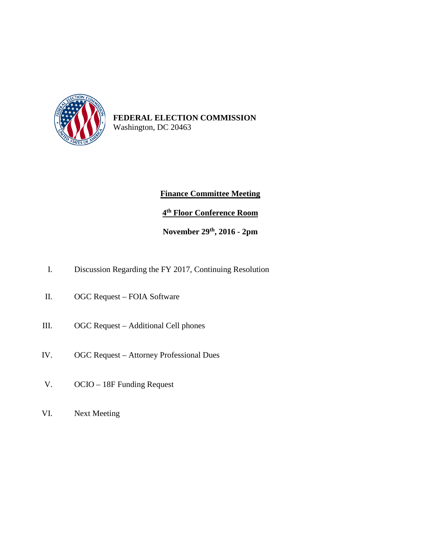

#### **Finance Committee Meeting**

**4th Floor Conference Room**

**November 29th, 2016 - 2pm**

- I. Discussion Regarding the FY 2017, Continuing Resolution
- II. OGC Request FOIA Software
- III. OGC Request Additional Cell phones
- IV. OGC Request Attorney Professional Dues
- V. OCIO 18F Funding Request
- VI. Next Meeting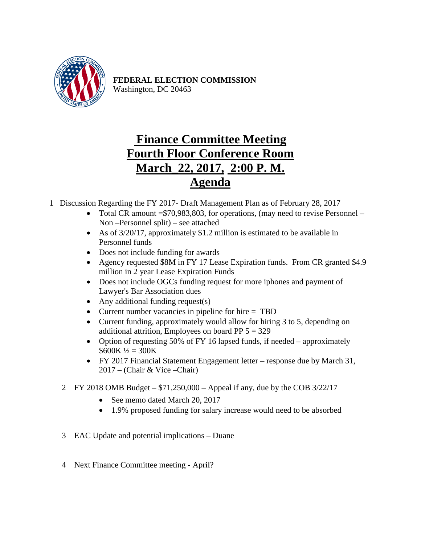

## **Finance Committee Meeting Fourth Floor Conference Room March\_22, 2017, 2:00 P. M. Agenda**

1 Discussion Regarding the FY 2017- Draft Management Plan as of February 28, 2017

- Total CR amount = \$70,983,803, for operations, (may need to revise Personnel Non –Personnel split) – see attached
- As of 3/20/17, approximately \$1.2 million is estimated to be available in Personnel funds
- Does not include funding for awards
- Agency requested \$8M in FY 17 Lease Expiration funds. From CR granted \$4.9 million in 2 year Lease Expiration Funds
- Does not include OGCs funding request for more iphones and payment of Lawyer's Bar Association dues
- Any additional funding request(s)
- Current number vacancies in pipeline for hire = TBD
- Current funding, approximately would allow for hiring 3 to 5, depending on additional attrition, Employees on board PP  $5 = 329$
- Option of requesting 50% of FY 16 lapsed funds, if needed approximately  $$600K\frac{1}{2} = 300K$
- FY 2017 Financial Statement Engagement letter response due by March 31, 2017 – (Chair & Vice –Chair)
- 2 FY 2018 OMB Budget \$71,250,000 Appeal if any, due by the COB 3/22/17
	- See memo dated March 20, 2017
	- 1.9% proposed funding for salary increase would need to be absorbed
- 3 EAC Update and potential implications Duane
- 4 Next Finance Committee meeting April?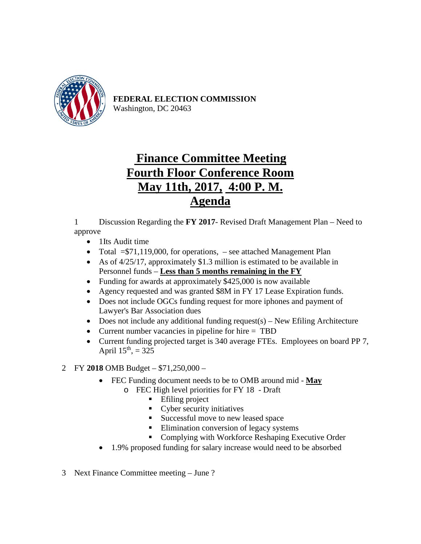

## **Finance Committee Meeting Fourth Floor Conference Room May 11th, 2017, 4:00 P. M. Agenda**

1 Discussion Regarding the **FY 2017**- Revised Draft Management Plan – Need to approve

- 1Its Audit time
- Total  $= $71,119,000$ , for operations,  $-$  see attached Management Plan
- As of 4/25/17, approximately \$1.3 million is estimated to be available in Personnel funds – **Less than 5 months remaining in the FY**
- Funding for awards at approximately \$425,000 is now available
- Agency requested and was granted \$8M in FY 17 Lease Expiration funds.
- Does not include OGCs funding request for more iphones and payment of Lawyer's Bar Association dues
- Does not include any additional funding request(s) New Efiling Architecture
- Current number vacancies in pipeline for hire = TBD
- Current funding projected target is 340 average FTEs. Employees on board PP 7, April  $15^{th}$ , = 325

#### 2 FY **2018** OMB Budget – \$71,250,000 –

- FEC Funding document needs to be to OMB around mid **May**
	- o FEC High level priorities for FY 18 Draft
		- **E** Efiling project
		- Cyber security initiatives
		- Successful move to new leased space
		- Elimination conversion of legacy systems
		- Complying with Workforce Reshaping Executive Order
- 1.9% proposed funding for salary increase would need to be absorbed
- 3 Next Finance Committee meeting June ?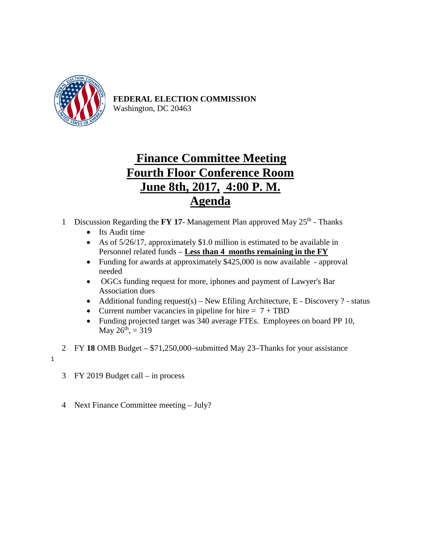

## **Finance Committee Meeting Fourth Floor Conference Room June 8th, 2017, 4:00 P. M. Agenda**

1 Discussion Regarding the **FY 17**- Management Plan approved May 25<sup>th</sup> - Thanks

- Its Audit time
- As of 5/26/17, approximately \$1.0 million is estimated to be available in Personnel related funds – **Less than 4 months remaining in the FY**
- Funding for awards at approximately \$425,000 is now available approval needed
- OGCs funding request for more, iphones and payment of Lawyer's Bar Association dues
- Additional funding request(s) New Efiling Architecture,  $E$  Discovery ? status
- Current number vacancies in pipeline for hire  $= 7 + TBD$
- Funding projected target was 340 average FTEs. Employees on board PP 10, May  $26^{th}$ , = 319
- 2 FY **18** OMB Budget \$71,250,000–submitted May 23–Thanks for your assistance
- 1
- 3 FY 2019 Budget call in process
- 4 Next Finance Committee meeting July?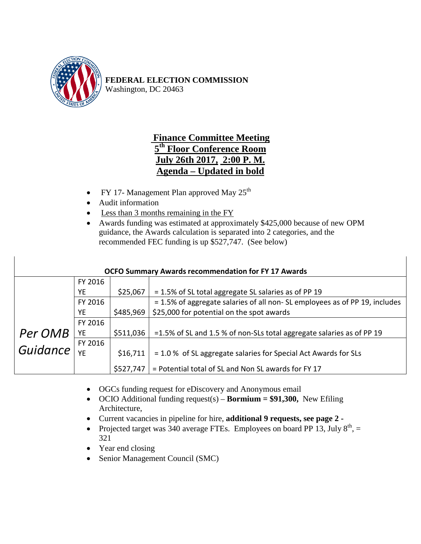

### **Finance Committee Meeting 5th Floor Conference Room July 26th 2017, 2:00 P. M. Agenda – Updated in bold**

- FY 17- Management Plan approved May  $25<sup>th</sup>$
- Audit information
- Less than 3 months remaining in the FY
- Awards funding was estimated at approximately \$425,000 because of new OPM guidance, the Awards calculation is separated into 2 categories, and the recommended FEC funding is up \$527,747. (See below)

| <b>OCFO Summary Awards recommendation for FY 17 Awards</b> |           |           |                                                                             |  |  |
|------------------------------------------------------------|-----------|-----------|-----------------------------------------------------------------------------|--|--|
|                                                            | FY 2016   |           |                                                                             |  |  |
|                                                            | YE        | \$25,067  | = 1.5% of SL total aggregate SL salaries as of PP 19                        |  |  |
|                                                            | FY 2016   |           | = 1.5% of aggregate salaries of all non- SL employees as of PP 19, includes |  |  |
|                                                            | <b>YE</b> | \$485,969 | \$25,000 for potential on the spot awards                                   |  |  |
|                                                            | FY 2016   |           |                                                                             |  |  |
| Per OMB                                                    | YE        | \$511,036 | =1.5% of SL and 1.5 % of non-SLs total aggregate salaries as of PP 19       |  |  |
|                                                            | FY 2016   |           |                                                                             |  |  |
| Guidance                                                   | YF        | \$16,711  | $= 1.0$ % of SL aggregate salaries for Special Act Awards for SLs           |  |  |
|                                                            |           | \$527,747 | = Potential total of SL and Non SL awards for FY 17                         |  |  |

- OGCs funding request for eDiscovery and Anonymous email
- OCIO Additional funding request(s) **Bormium = \$91,300,** New Efiling Architecture,
- Current vacancies in pipeline for hire, **additional 9 requests, see page 2 -**
- Projected target was 340 average FTEs. Employees on board PP 13, July  $8<sup>th</sup>$ , = 321
- Year end closing
- Senior Management Council (SMC)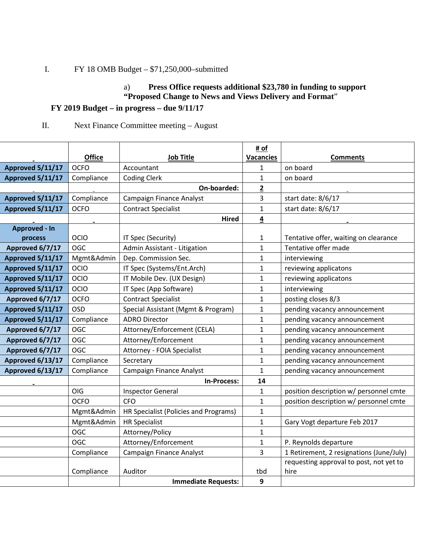### I. FY 18 OMB Budget – \$71,250,000–submitted

#### a) **Press Office requests additional \$23,780 in funding to support "Proposed Change to News and Views Delivery and Format**"

#### **FY 2019 Budget – in progress – due 9/11/17**

#### II. Next Finance Committee meeting – August

|                      |               |                                       | # of             |                                          |
|----------------------|---------------|---------------------------------------|------------------|------------------------------------------|
|                      | <b>Office</b> | <b>Job Title</b>                      | <b>Vacancies</b> | <b>Comments</b>                          |
| Approved 5/11/17     | <b>OCFO</b>   | Accountant                            | 1                | on board                                 |
| Approved 5/11/17     | Compliance    | <b>Coding Clerk</b>                   | $\mathbf{1}$     | on board                                 |
|                      |               | On-boarded:                           | $\mathbf{2}$     |                                          |
| Approved 5/11/17     | Compliance    | Campaign Finance Analyst              | 3                | start date: 8/6/17                       |
| Approved 5/11/17     | <b>OCFO</b>   | <b>Contract Specialist</b>            | $\mathbf{1}$     | start date: 8/6/17                       |
|                      |               | <b>Hired</b>                          | 4                |                                          |
| <b>Approved - In</b> |               |                                       |                  |                                          |
| process              | OCIO          | IT Spec (Security)                    | $\mathbf{1}$     | Tentative offer, waiting on clearance    |
| Approved 6/7/17      | <b>OGC</b>    | Admin Assistant - Litigation          | $\mathbf{1}$     | Tentative offer made                     |
| Approved 5/11/17     | Mgmt&Admin    | Dep. Commission Sec.                  | $\mathbf{1}$     | interviewing                             |
| Approved 5/11/17     | OCIO          | IT Spec (Systems/Ent.Arch)            | $\mathbf{1}$     | reviewing applicatons                    |
| Approved 5/11/17     | OCIO          | IT Mobile Dev. (UX Design)            | $\mathbf{1}$     | reviewing applicatons                    |
| Approved 5/11/17     | OCIO          | IT Spec (App Software)                | $\mathbf{1}$     | interviewing                             |
| Approved 6/7/17      | <b>OCFO</b>   | <b>Contract Specialist</b>            | $\mathbf{1}$     | posting closes 8/3                       |
| Approved 5/11/17     | <b>OSD</b>    | Special Assistant (Mgmt & Program)    | $\mathbf{1}$     | pending vacancy announcement             |
| Approved 5/11/17     | Compliance    | <b>ADRO Director</b>                  | $\mathbf 1$      | pending vacancy announcement             |
| Approved 6/7/17      | OGC           | Attorney/Enforcement (CELA)           | $\mathbf{1}$     | pending vacancy announcement             |
| Approved 6/7/17      | OGC           | Attorney/Enforcement                  | $\mathbf{1}$     | pending vacancy announcement             |
| Approved 6/7/17      | <b>OGC</b>    | Attorney - FOIA Specialist            | $\mathbf{1}$     | pending vacancy announcement             |
| Approved 6/13/17     | Compliance    | Secretary                             | $\mathbf{1}$     | pending vacancy announcement             |
| Approved 6/13/17     | Compliance    | Campaign Finance Analyst              | $\mathbf{1}$     | pending vacancy announcement             |
|                      |               | In-Process:                           | 14               |                                          |
|                      | OIG           | <b>Inspector General</b>              | $\mathbf{1}$     | position description w/ personnel cmte   |
|                      | <b>OCFO</b>   | <b>CFO</b>                            | $\mathbf{1}$     | position description w/ personnel cmte   |
|                      | Mgmt&Admin    | HR Specialist (Policies and Programs) | $\mathbf{1}$     |                                          |
|                      | Mgmt&Admin    | <b>HR Specialist</b>                  | $\mathbf{1}$     | Gary Vogt departure Feb 2017             |
|                      | <b>OGC</b>    | Attorney/Policy                       | $\mathbf{1}$     |                                          |
|                      | <b>OGC</b>    | Attorney/Enforcement                  | $\mathbf{1}$     | P. Reynolds departure                    |
|                      | Compliance    | Campaign Finance Analyst              | 3                | 1 Retirement, 2 resignations (June/July) |
|                      |               |                                       |                  | requesting approval to post, not yet to  |
|                      | Compliance    | Auditor                               | tbd              | hire                                     |
|                      |               | <b>Immediate Requests:</b>            | 9                |                                          |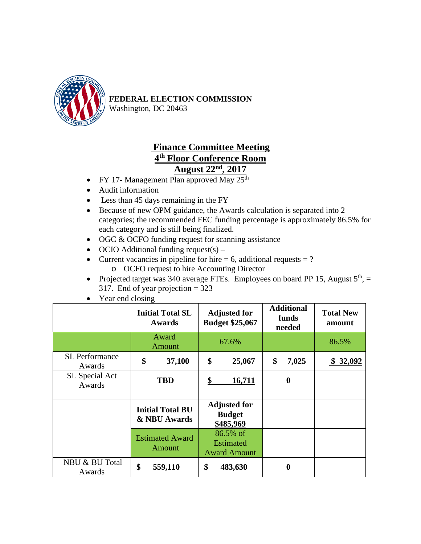

Washington, DC 20463

### **Finance Committee Meeting 4th Floor Conference Room August 22nd , 2017**

- FY 17- Management Plan approved May  $25<sup>th</sup>$
- Audit information
- Less than 45 days remaining in the FY
- Because of new OPM guidance, the Awards calculation is separated into 2 categories; the recommended FEC funding percentage is approximately 86.5% for each category and is still being finalized.
- OGC & OCFO funding request for scanning assistance
- OCIO Additional funding request(s) –
- Current vacancies in pipeline for hire  $= 6$ , additional requests  $= ?$ o OCFO request to hire Accounting Director
- Projected target was 340 average FTEs. Employees on board PP 15, August  $5<sup>th</sup>$ ,  $=$ 317. End of year projection = 323
- Year end closing

|                                 | <b>Initial Total SL</b><br>Awards |                                         | <b>Adjusted for</b><br><b>Budget \$25,067</b> |                                                     | <b>Additional</b><br>funds<br>needed |                  | <b>Total New</b><br>amount |
|---------------------------------|-----------------------------------|-----------------------------------------|-----------------------------------------------|-----------------------------------------------------|--------------------------------------|------------------|----------------------------|
|                                 | Award<br>Amount                   |                                         |                                               | 67.6%                                               |                                      |                  | 86.5%                      |
| <b>SL</b> Performance<br>Awards | \$                                | 37,100                                  | \$                                            | 25,067                                              | \$                                   | 7,025            | \$32,092                   |
| SL Special Act<br>Awards        |                                   | <b>TBD</b>                              | \$                                            | 16,711                                              |                                      | $\boldsymbol{0}$ |                            |
|                                 |                                   |                                         |                                               |                                                     |                                      |                  |                            |
|                                 |                                   | <b>Initial Total BU</b><br>& NBU Awards |                                               | <b>Adjusted for</b><br><b>Budget</b><br>\$485,969   |                                      |                  |                            |
|                                 |                                   | <b>Estimated Award</b><br>Amount        |                                               | 86.5% of<br><b>Estimated</b><br><b>Award Amount</b> |                                      |                  |                            |
| NBU & BU Total<br>Awards        | \$                                | 559,110                                 | \$                                            | 483,630                                             |                                      | $\bf{0}$         |                            |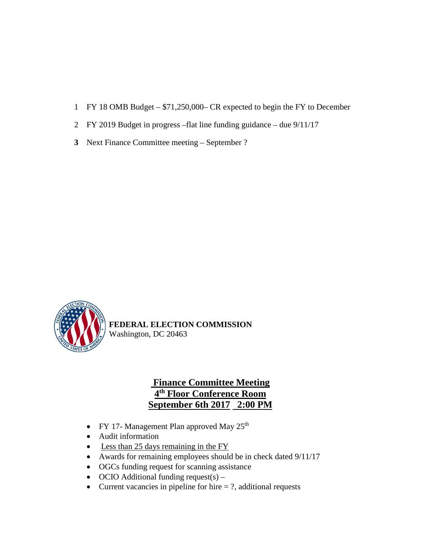- 1 FY 18 OMB Budget \$71,250,000– CR expected to begin the FY to December
- 2 FY 2019 Budget in progress –flat line funding guidance due 9/11/17
- **3** Next Finance Committee meeting September ?



### **Finance Committee Meeting 4th Floor Conference Room September 6th 2017 2:00 PM**

- FY 17- Management Plan approved May  $25<sup>th</sup>$
- Audit information
- Less than 25 days remaining in the FY
- Awards for remaining employees should be in check dated 9/11/17
- OGCs funding request for scanning assistance
- OCIO Additional funding request(s) –
- Current vacancies in pipeline for hire  $= ?$ , additional requests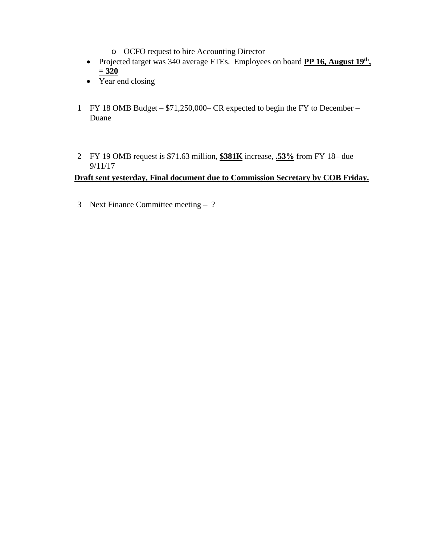- o OCFO request to hire Accounting Director
- Projected target was 340 average FTEs. Employees on board **PP 16, August 19th, = 320**
- Year end closing
- 1 FY 18 OMB Budget \$71,250,000– CR expected to begin the FY to December Duane
- 2 FY 19 OMB request is \$71.63 million, **\$381K** increase, **.53%** from FY 18– due 9/11/17

#### **Draft sent yesterday, Final document due to Commission Secretary by COB Friday.**

3 Next Finance Committee meeting – ?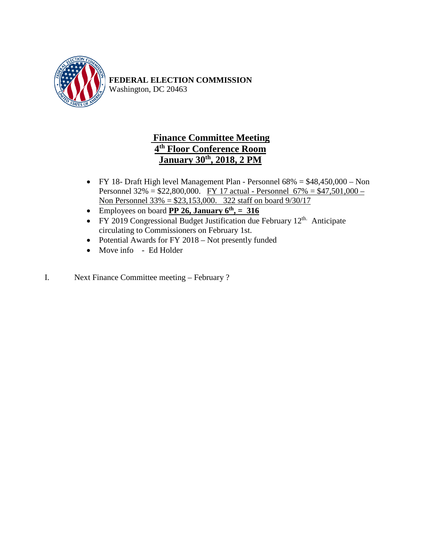

### **Finance Committee Meeting 4th Floor Conference Room January 30th , 2018, 2 PM**

- FY 18- Draft High level Management Plan Personnel 68% = \$48,450,000 Non Personnel 32% = \$22,800,000. FY 17 actual - Personnel 67% = \$47,501,000 – Non Personnel 33% = \$23,153,000. 322 staff on board 9/30/17
- Employees on board  $\overline{PP}$  26, January  $6^{th}$ , = 316
- FY 2019 Congressional Budget Justification due February  $12^{\text{th}}$ . Anticipate circulating to Commissioners on February 1st.
- Potential Awards for FY 2018 Not presently funded
- Move info Ed Holder
- I. Next Finance Committee meeting February ?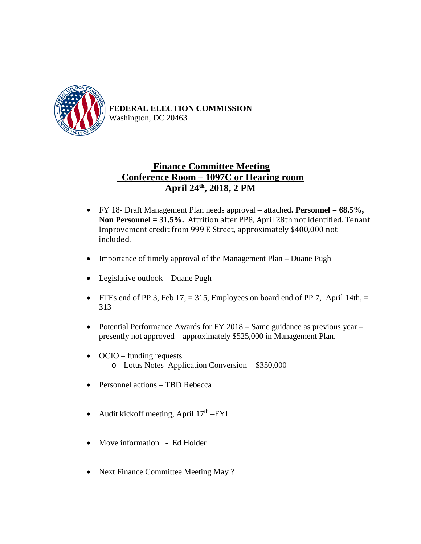

### **Finance Committee Meeting Conference Room – 1097C or Hearing room April 24th , 2018, 2 PM**

- FY 18- Draft Management Plan needs approval attached**. Personnel = 68.5%, Non Personnel = 31.5%.** Attrition after PP8, April 28th not identified. Tenant Improvement credit from 999 E Street, approximately \$400,000 not included.
- Importance of timely approval of the Management Plan Duane Pugh
- Legislative outlook Duane Pugh
- FTEs end of PP 3, Feb 17,  $= 315$ , Employees on board end of PP 7, April 14th,  $=$ 313
- Potential Performance Awards for FY 2018 Same guidance as previous year presently not approved – approximately \$525,000 in Management Plan.
- OCIO funding requests o Lotus Notes Application Conversion = \$350,000
- Personnel actions TBD Rebecca
- Audit kickoff meeting, April  $17<sup>th</sup> FYI$
- Move information Ed Holder
- Next Finance Committee Meeting May ?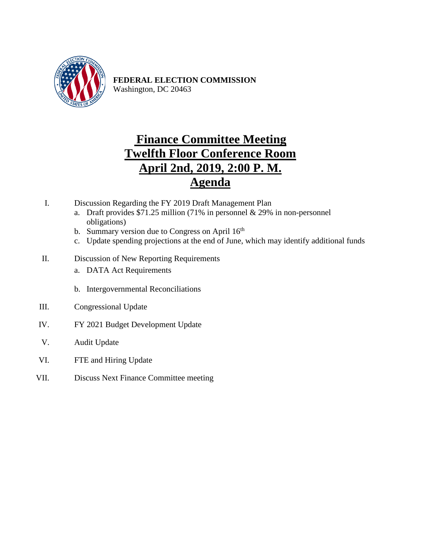

## **Finance Committee Meeting Twelfth Floor Conference Room April 2nd, 2019, 2:00 P. M. Agenda**

- I. Discussion Regarding the FY 2019 Draft Management Plan
	- a. Draft provides \$71.25 million (71% in personnel  $& 29\%$  in non-personnel obligations)
	- b. Summary version due to Congress on April 16<sup>th</sup>
	- c. Update spending projections at the end of June, which may identify additional funds
- II. Discussion of New Reporting Requirements
	- a. DATA Act Requirements
	- b. Intergovernmental Reconciliations
- III. Congressional Update
- IV. FY 2021 Budget Development Update
- V. Audit Update
- VI. FTE and Hiring Update
- VII. Discuss Next Finance Committee meeting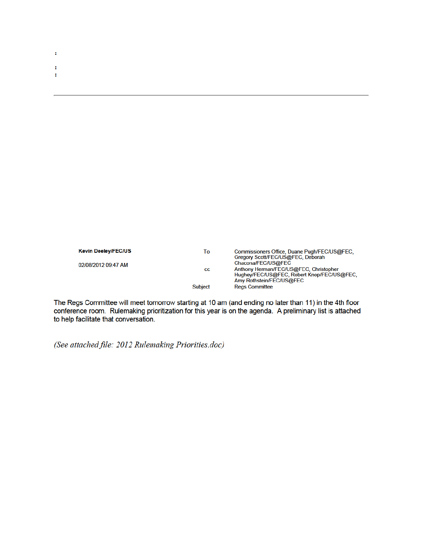| Kevin Deeley/FEC/US | To | Commissioners Office, Duane Pugh/FEC/US@FEC<br>Gregory Scott/FEC/US@EEC, Deborah |
|---------------------|----|----------------------------------------------------------------------------------|

| <b>NEVIH DEEIEVIFECTUS</b> | 10             | Commissioners Office, Duane Pugn/FEC/US@FEC. |
|----------------------------|----------------|----------------------------------------------|
|                            |                | Gregory Scott/FEC/US@FEC, Deborah            |
| 02/08/2012 09:47 AM        |                | Chacona/FEC/US@FEC                           |
|                            | СC             | Anthony Herman/FEC/US@FEC, Christopher       |
|                            |                | Hughey/FEC/US@FEC, Robert Knop/FEC/US@FEC,   |
|                            |                | Amy Rothstein/FEC/US@FEC                     |
|                            | <b>Subject</b> | <b>Regs Committee</b>                        |
|                            |                |                                              |

The Regs Committee will meet tomorrow starting at 10 am (and ending no later than 11) in the 4th floor conference room. Rulemaking prioritization for this year is on the agenda. A preliminary list is attached to help facilitate that conversation.

(See attached file: 2012 Rulemaking Priorities.doc)

à,

à. ÷,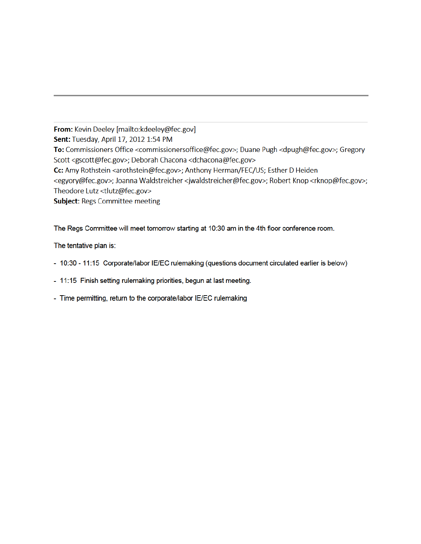From: Kevin Deeley [mailto:kdeeley@fec.gov] Sent: Tuesday, April 17, 2012 1:54 PM To: Commissioners Office <commissionersoffice@fec.gov>; Duane Pugh <dpugh@fec.gov>; Gregory Scott <gscott@fec.gov>; Deborah Chacona <dchacona@fec.gov> Cc: Amy Rothstein <arothstein@fec.gov>; Anthony Herman/FEC/US; Esther D Heiden <egyory@fec.gov>; Joanna Waldstreicher <jwaldstreicher@fec.gov>; Robert Knop <rknop@fec.gov>; Theodore Lutz <tlutz@fec.gov> **Subject: Regs Committee meeting** 

The Regs Committee will meet tomorrow starting at 10:30 am in the 4th floor conference room.

The tentative plan is:

- 10:30 11:15 Corporate/labor IE/EC rulemaking (questions document circulated earlier is below)
- 11:15 Finish setting rulemaking priorities, begun at last meeting.
- Time permitting, return to the corporate/labor IE/EC rulemaking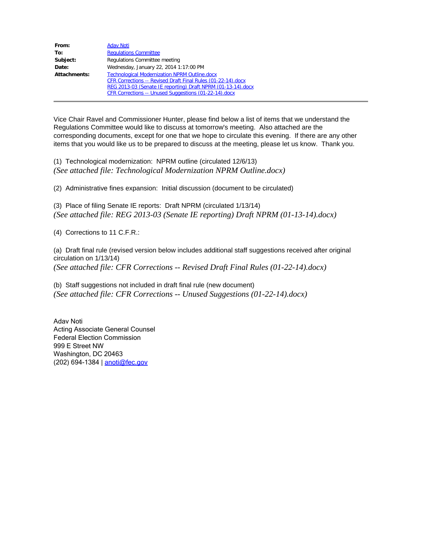| From:        | <b>Adav Noti</b>                                             |  |  |
|--------------|--------------------------------------------------------------|--|--|
| To:          | <b>Regulations Committee</b>                                 |  |  |
| Subject:     | Regulations Committee meeting                                |  |  |
| Date:        | Wednesday, January 22, 2014 1:17:00 PM                       |  |  |
| Attachments: | <b>Technological Modernization NPRM Outline.docx</b>         |  |  |
|              | CFR Corrections -- Revised Draft Final Rules (01-22-14).docx |  |  |
|              | REG 2013-03 (Senate IE reporting) Draft NPRM (01-13-14).docx |  |  |
|              | CFR Corrections -- Unused Suggestions (01-22-14).docx        |  |  |

Vice Chair Ravel and Commissioner Hunter, please find below a list of items that we understand the Regulations Committee would like to discuss at tomorrow's meeting. Also attached are the corresponding documents, except for one that we hope to circulate this evening. If there are any other items that you would like us to be prepared to discuss at the meeting, please let us know. Thank you.

(1) Technological modernization: NPRM outline (circulated 12/6/13) *(See attached file: Technological Modernization NPRM Outline.docx)*

(2) Administrative fines expansion: Initial discussion (document to be circulated)

(3) Place of filing Senate IE reports: Draft NPRM (circulated 1/13/14) *(See attached file: REG 2013-03 (Senate IE reporting) Draft NPRM (01-13-14).docx)*

(4) Corrections to 11 C.F.R.:

(a) Draft final rule (revised version below includes additional staff suggestions received after original circulation on 1/13/14) *(See attached file: CFR Corrections -- Revised Draft Final Rules (01-22-14).docx)*

(b) Staff suggestions not included in draft final rule (new document) *(See attached file: CFR Corrections -- Unused Suggestions (01-22-14).docx)*

Adav Noti Acting Associate General Counsel Federal Election Commission 999 E Street NW Washington, DC 20463 (202) 694-1384 | anoti@fec.gov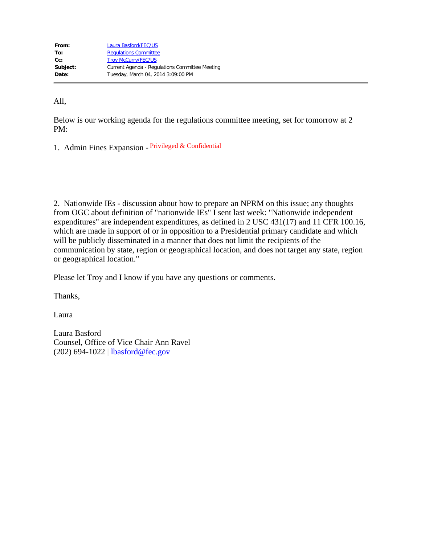| From:    | Laura Basford/FEC/US                           |
|----------|------------------------------------------------|
| To:      | <b>Requlations Committee</b>                   |
| $Cc$ :   | <b>Troy McCurry/FEC/US</b>                     |
| Subject: | Current Agenda - Regulations Committee Meeting |
| Date:    | Tuesday, March 04, 2014 3:09:00 PM             |
|          |                                                |

All,

Below is our working agenda for the regulations committee meeting, set for tomorrow at 2 PM:

1. Admin Fines Expansion - Privileged & Confidential

2. Nationwide IEs - discussion about how to prepare an NPRM on this issue; any thoughts from OGC about definition of "nationwide IEs" I sent last week: "Nationwide independent expenditures" are independent expenditures, as defined in 2 USC 431(17) and 11 CFR 100.16, which are made in support of or in opposition to a Presidential primary candidate and which will be publicly disseminated in a manner that does not limit the recipients of the communication by state, region or geographical location, and does not target any state, region or geographical location."

Please let Troy and I know if you have any questions or comments.

Thanks,

Laura

Laura Basford Counsel, Office of Vice Chair Ann Ravel (202) 694-1022 | lbasford@fec.gov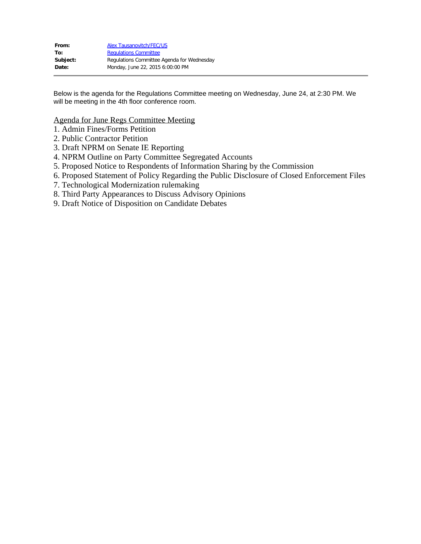| From:    | <b>Alex Tausanovitch/FEC/US</b>            |
|----------|--------------------------------------------|
| To:      | <b>Requlations Committee</b>               |
| Subject: | Regulations Committee Agenda for Wednesday |
| Date:    | Monday, June 22, 2015 6:00:00 PM           |

Below is the agenda for the Regulations Committee meeting on Wednesday, June 24, at 2:30 PM. We will be meeting in the 4th floor conference room.

Agenda for June Regs Committee Meeting

- 1. Admin Fines/Forms Petition
- 2. Public Contractor Petition
- 3. Draft NPRM on Senate IE Reporting
- 4. NPRM Outline on Party Committee Segregated Accounts
- 5. Proposed Notice to Respondents of Information Sharing by the Commission
- 6. Proposed Statement of Policy Regarding the Public Disclosure of Closed Enforcement Files
- 7. Technological Modernization rulemaking
- 8. Third Party Appearances to Discuss Advisory Opinions
- 9. Draft Notice of Disposition on Candidate Debates